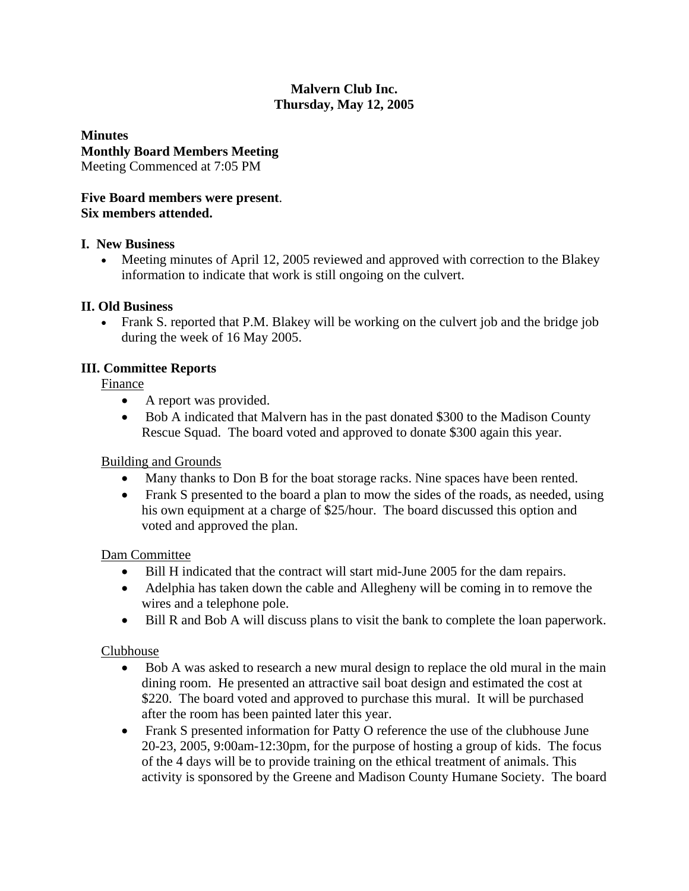# **Malvern Club Inc. Thursday, May 12, 2005**

**Minutes Monthly Board Members Meeting**  Meeting Commenced at 7:05 PM

# **Five Board members were present**. **Six members attended.**

#### **I. New Business**

• Meeting minutes of April 12, 2005 reviewed and approved with correction to the Blakey information to indicate that work is still ongoing on the culvert.

# **II. Old Business**

• Frank S. reported that P.M. Blakey will be working on the culvert job and the bridge job during the week of 16 May 2005.

# **III. Committee Reports**

Finance

- A report was provided.
- Bob A indicated that Malvern has in the past donated \$300 to the Madison County Rescue Squad. The board voted and approved to donate \$300 again this year.

# Building and Grounds

- Many thanks to Don B for the boat storage racks. Nine spaces have been rented.
- Frank S presented to the board a plan to mow the sides of the roads, as needed, using his own equipment at a charge of \$25/hour. The board discussed this option and voted and approved the plan.

# Dam Committee

- Bill H indicated that the contract will start mid-June 2005 for the dam repairs.
- Adelphia has taken down the cable and Allegheny will be coming in to remove the wires and a telephone pole.
- Bill R and Bob A will discuss plans to visit the bank to complete the loan paperwork.

# Clubhouse

- Bob A was asked to research a new mural design to replace the old mural in the main dining room. He presented an attractive sail boat design and estimated the cost at \$220. The board voted and approved to purchase this mural. It will be purchased after the room has been painted later this year.
- Frank S presented information for Patty O reference the use of the clubhouse June 20-23, 2005, 9:00am-12:30pm, for the purpose of hosting a group of kids. The focus of the 4 days will be to provide training on the ethical treatment of animals. This activity is sponsored by the Greene and Madison County Humane Society. The board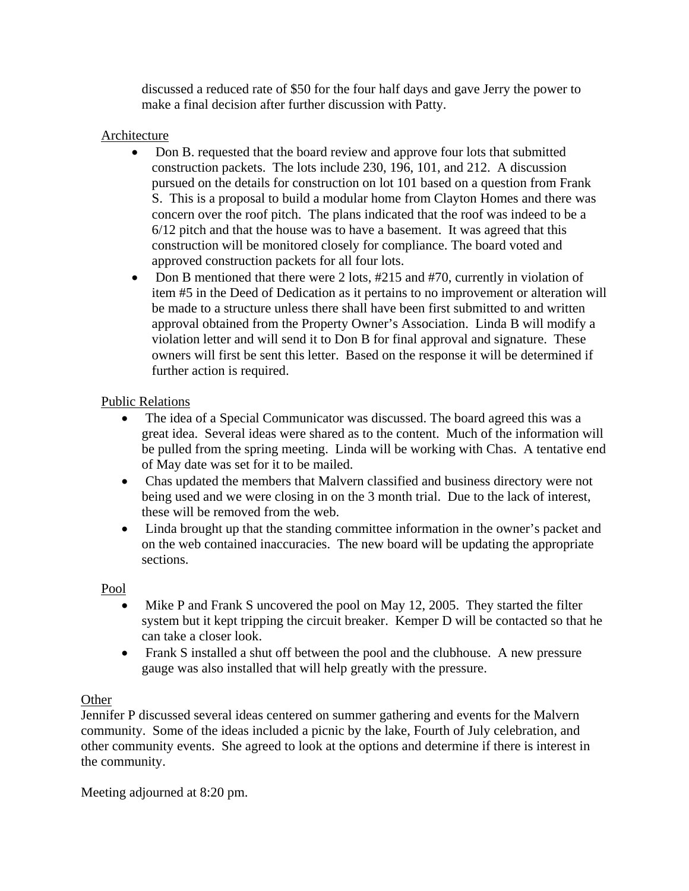discussed a reduced rate of \$50 for the four half days and gave Jerry the power to make a final decision after further discussion with Patty.

# Architecture

- Don B. requested that the board review and approve four lots that submitted construction packets. The lots include 230, 196, 101, and 212. A discussion pursued on the details for construction on lot 101 based on a question from Frank S. This is a proposal to build a modular home from Clayton Homes and there was concern over the roof pitch. The plans indicated that the roof was indeed to be a 6/12 pitch and that the house was to have a basement. It was agreed that this construction will be monitored closely for compliance. The board voted and approved construction packets for all four lots.
- Don B mentioned that there were 2 lots, #215 and #70, currently in violation of item #5 in the Deed of Dedication as it pertains to no improvement or alteration will be made to a structure unless there shall have been first submitted to and written approval obtained from the Property Owner's Association. Linda B will modify a violation letter and will send it to Don B for final approval and signature. These owners will first be sent this letter. Based on the response it will be determined if further action is required.

# Public Relations

- The idea of a Special Communicator was discussed. The board agreed this was a great idea. Several ideas were shared as to the content. Much of the information will be pulled from the spring meeting. Linda will be working with Chas. A tentative end of May date was set for it to be mailed.
- Chas updated the members that Malvern classified and business directory were not being used and we were closing in on the 3 month trial. Due to the lack of interest, these will be removed from the web.
- Linda brought up that the standing committee information in the owner's packet and on the web contained inaccuracies. The new board will be updating the appropriate sections.

Pool

- Mike P and Frank S uncovered the pool on May 12, 2005. They started the filter system but it kept tripping the circuit breaker. Kemper D will be contacted so that he can take a closer look.
- Frank S installed a shut off between the pool and the clubhouse. A new pressure gauge was also installed that will help greatly with the pressure.

# **Other**

Jennifer P discussed several ideas centered on summer gathering and events for the Malvern community. Some of the ideas included a picnic by the lake, Fourth of July celebration, and other community events. She agreed to look at the options and determine if there is interest in the community.

Meeting adjourned at 8:20 pm.